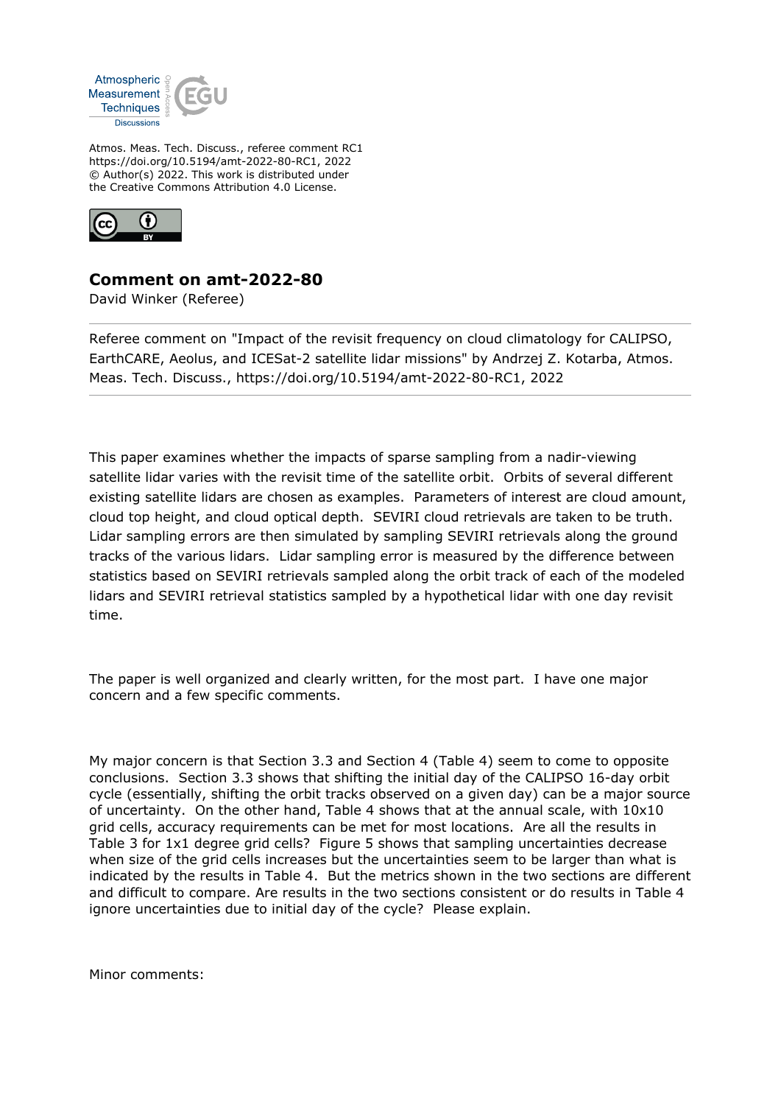

Atmos. Meas. Tech. Discuss., referee comment RC1 https://doi.org/10.5194/amt-2022-80-RC1, 2022 © Author(s) 2022. This work is distributed under the Creative Commons Attribution 4.0 License.



## **Comment on amt-2022-80**

David Winker (Referee)

Referee comment on "Impact of the revisit frequency on cloud climatology for CALIPSO, EarthCARE, Aeolus, and ICESat-2 satellite lidar missions" by Andrzej Z. Kotarba, Atmos. Meas. Tech. Discuss., https://doi.org/10.5194/amt-2022-80-RC1, 2022

This paper examines whether the impacts of sparse sampling from a nadir-viewing satellite lidar varies with the revisit time of the satellite orbit. Orbits of several different existing satellite lidars are chosen as examples. Parameters of interest are cloud amount, cloud top height, and cloud optical depth. SEVIRI cloud retrievals are taken to be truth. Lidar sampling errors are then simulated by sampling SEVIRI retrievals along the ground tracks of the various lidars. Lidar sampling error is measured by the difference between statistics based on SEVIRI retrievals sampled along the orbit track of each of the modeled lidars and SEVIRI retrieval statistics sampled by a hypothetical lidar with one day revisit time.

The paper is well organized and clearly written, for the most part. I have one major concern and a few specific comments.

My major concern is that Section 3.3 and Section 4 (Table 4) seem to come to opposite conclusions. Section 3.3 shows that shifting the initial day of the CALIPSO 16-day orbit cycle (essentially, shifting the orbit tracks observed on a given day) can be a major source of uncertainty. On the other hand, Table 4 shows that at the annual scale, with 10x10 grid cells, accuracy requirements can be met for most locations. Are all the results in Table 3 for 1x1 degree grid cells? Figure 5 shows that sampling uncertainties decrease when size of the grid cells increases but the uncertainties seem to be larger than what is indicated by the results in Table 4. But the metrics shown in the two sections are different and difficult to compare. Are results in the two sections consistent or do results in Table 4 ignore uncertainties due to initial day of the cycle? Please explain.

Minor comments: